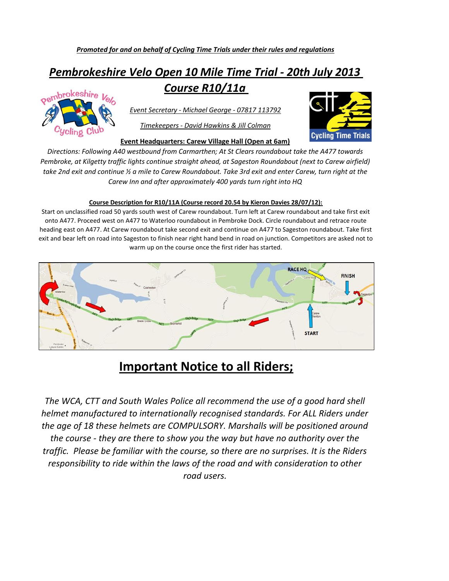## *Pembrokeshire Velo Open 10 Mile Time Trial - 20th July 2013 Course R10/11a*



*Event Secretary - Michael George - 07817 113792*

*Timekeepers - David Hawkins & Jill Colman*

**Cycling Time Trials** 

**Event Headquarters: Carew Village Hall (Open at 6am)**

*Directions: Following A40 westbound from Carmarthen; At St Clears roundabout take the A477 towards Pembroke, at Kilgetty traffic lights continue straight ahead, at Sageston Roundabout (next to Carew airfield) take 2nd exit and continue ½ a mile to Carew Roundabout. Take 3rd exit and enter Carew, turn right at the Carew Inn and after approximately 400 yards turn right into HQ*

## **Course Description for R10/11A (Course record 20.54 by Kieron Davies 28/07/12):**

Start on unclassified road 50 yards south west of Carew roundabout. Turn left at Carew roundabout and take first exit onto A477. Proceed west on A477 to Waterloo roundabout in Pembroke Dock. Circle roundabout and retrace route heading east on A477. At Carew roundabout take second exit and continue on A477 to Sageston roundabout. Take first exit and bear left on road into Sageston to finish near right hand bend in road on junction. Competitors are asked not to warm up on the course once the first rider has started.



## **Important Notice to all Riders;**

*The WCA, CTT and South Wales Police all recommend the use of a good hard shell helmet manufactured to internationally recognised standards. For ALL Riders under the age of 18 these helmets are COMPULSORY. Marshalls will be positioned around the course - they are there to show you the way but have no authority over the traffic. Please be familiar with the course, so there are no surprises. It is the Riders responsibility to ride within the laws of the road and with consideration to other road users.*